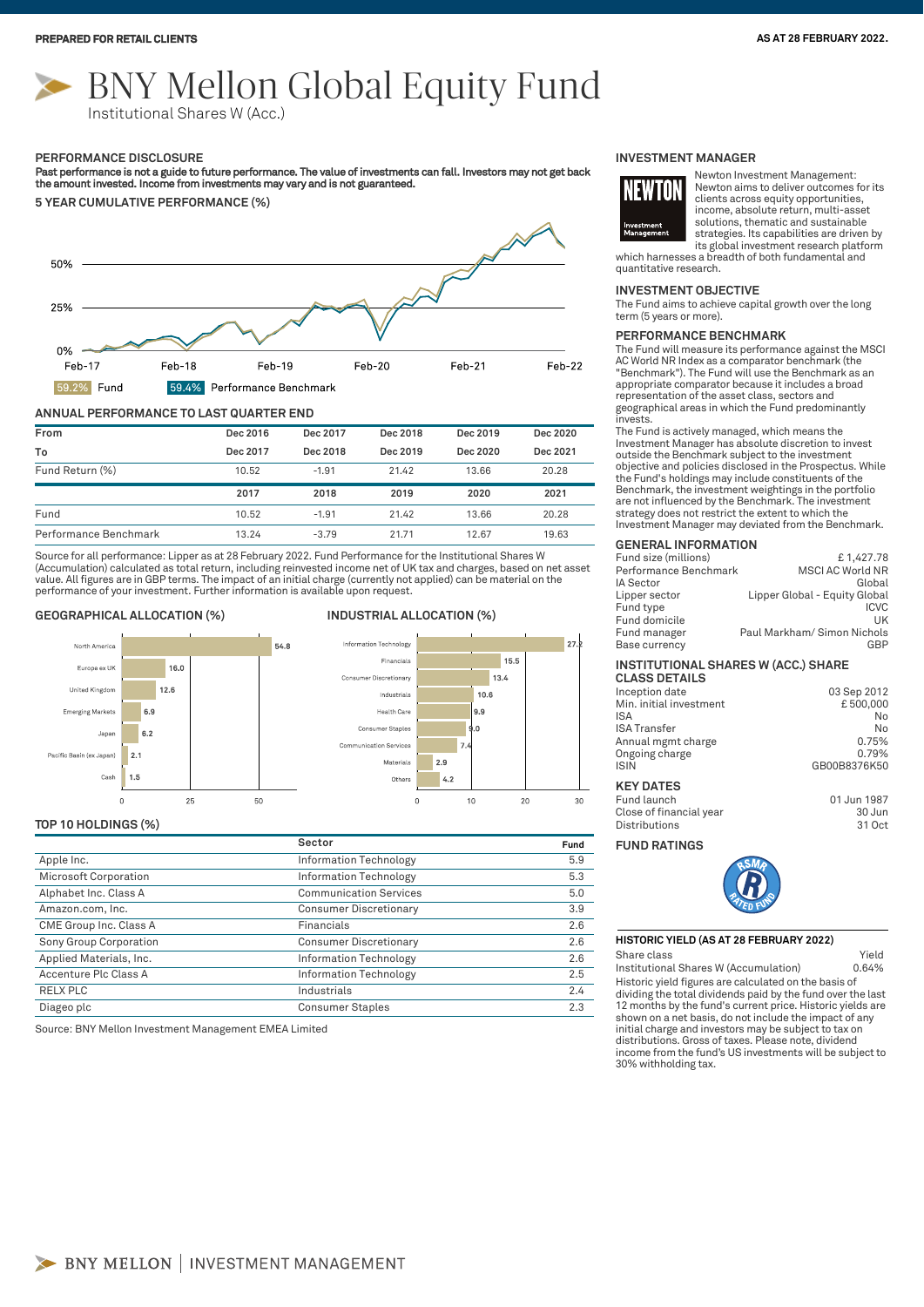# BNY Mellon Global Equity Fund

Institutional Shares W (Acc.)

#### **PERFORMANCE DISCLOSURE**

Past performance is not a guide to future performance. The value of investments can fall. Investors may not get back<br>the amount invested. Income from investments may vary and is not guaranteed.

**5 YEAR CUMULATIVE PERFORMANCE (%)**



#### **ANNUAL PERFORMANCE TO LAST QUARTER END**

| From            | Dec 2016 | Dec 2017 | Dec 2018 | Dec 2019 | Dec 2020 |
|-----------------|----------|----------|----------|----------|----------|
| To              | Dec 2017 | Dec 2018 | Dec 2019 | Dec 2020 | Dec 2021 |
| Fund Return (%) | 10.52    | $-1.91$  | 21.42    | 13.66    | 20.28    |
|                 | 2017     | 2018     | 2019     | 2020     | 2021     |
|                 |          |          |          |          |          |
| Fund            | 10.52    | $-1.91$  | 21.42    | 13.66    | 20.28    |

Source for all performance: Lipper as at 28 February 2022. Fund Performance for the Institutional Shares W (Accumulation) calculated as total return, including reinvested income net of UK tax and charges, based on net asset value. All figures are in GBP terms. The impact of an initial charge (currently not applied) can be material on the performance of your investment. Further information is available upon request.

#### **GEOGRAPHICAL ALLOCATION (%) INDUSTRIAL ALLOCATION (%)**





#### **TOP 10 HOLDINGS (%)**

|                         | Sector                        | Fund |
|-------------------------|-------------------------------|------|
| Apple Inc.              | Information Technology        | 5.9  |
| Microsoft Corporation   | Information Technology        | 5.3  |
| Alphabet Inc. Class A   | <b>Communication Services</b> | 5.0  |
| Amazon.com, Inc.        | <b>Consumer Discretionary</b> | 3.9  |
| CME Group Inc. Class A  | Financials                    | 2.6  |
| Sony Group Corporation  | <b>Consumer Discretionary</b> | 2.6  |
| Applied Materials, Inc. | Information Technology        | 2.6  |
| Accenture Plc Class A   | Information Technology        | 2.5  |
| RELX PLC                | Industrials                   | 2.4  |
| Diageo plc              | <b>Consumer Staples</b>       | 2.3  |

Source: BNY Mellon Investment Management EMEA Limited

#### **INVESTMENT MANAGER**



Newton Investment Management: Newton aims to deliver outcomes for its clients across equity opportunities, income, absolute return, multi-asset solutions, thematic and sustainable strategies. Its capabilities are driven by its global investment research platform

which harnesses a breadth of both fundamental and quantitative research.

#### **INVESTMENT OBJECTIVE**

The Fund aims to achieve capital growth over the long term (5 years or more).

#### **PERFORMANCE BENCHMARK**

The Fund will measure its performance against the MSCI AC World NR Index as a comparator benchmark (the "Benchmark"). The Fund will use the Benchmark as an appropriate comparator because it includes a broad representation of the asset class, sectors and geographical areas in which the Fund predominantly invests.

The Fund is actively managed, which means the Investment Manager has absolute discretion to invest outside the Benchmark subject to the investment objective and policies disclosed in the Prospectus. While the Fund's holdings may include constituents of the Benchmark, the investment weightings in the portfolio are not influenced by the Benchmark. The investment strategy does not restrict the extent to which the Investment Manager may deviated from the Benchmark.

#### **GENERAL INFORMATION**

| Fund size (millions)  | £1,427.78                     |
|-----------------------|-------------------------------|
| Performance Benchmark | <b>MSCI AC World NR</b>       |
| IA Sector             | Global                        |
| Lipper sector         | Lipper Global - Equity Global |
| Fund type             | <b>ICVC</b>                   |
| Fund domicile         | UK                            |
| Fund manager          | Paul Markham/ Simon Nichols   |
| <b>Base currency</b>  | GBP                           |
|                       |                               |

### **INSTITUTIONAL SHARES W (ACC.) SHARE**

| <b>CLASS DETAILS</b>    |              |
|-------------------------|--------------|
| Inception date          | 03 Sep 2012  |
| Min. initial investment | £500,000     |
| <b>ISA</b>              | No           |
| <b>ISA Transfer</b>     | No           |
| Annual mgmt charge      | 0.75%        |
| Ongoing charge          | 0.79%        |
| <b>ISIN</b>             | GB00B8376K50 |
| <b>KEY DATES</b>        |              |
|                         |              |

Fund launch 01 Jun 1987 Close of financial year 30 Jun **Distributions** 

#### **FUND RATINGS**



#### **HISTORIC YIELD (AS AT 28 FEBRUARY 2022)**

Share class **Yield** 

Historic yield figures are calculated on the basis of dividing the total dividends paid by the fund over the last 12 months by the fund's current price. Historic yields are shown on a net basis, do not include the impact of any initial charge and investors may be subject to tax on distributions. Gross of taxes. Please note, dividend income from the fund's US investments will be subject to 30% withholding tax. Institutional Shares W (Accumulation) 0.64%